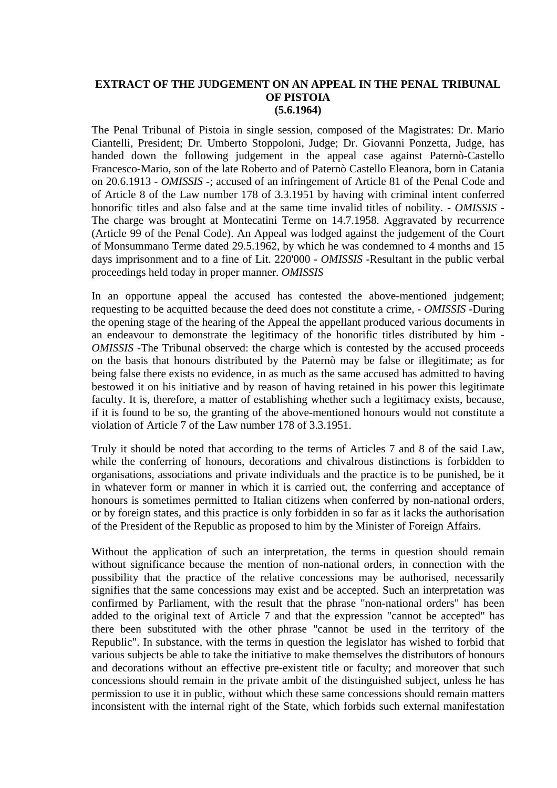## **EXTRACT OF THE JUDGEMENT ON AN APPEAL IN THE PENAL TRIBUNAL OF PISTOIA (5.6.1964)**

The Penal Tribunal of Pistoia in single session, composed of the Magistrates: Dr. Mario Ciantelli, President; Dr. Umberto Stoppoloni, Judge; Dr. Giovanni Ponzetta, Judge, has handed down the following judgement in the appeal case against Paternò-Castello Francesco-Mario, son of the late Roberto and of Paternò Castello Eleanora, born in Catania on 20.6.1913 - *OMISSIS* -; accused of an infringement of Article 81 of the Penal Code and of Article 8 of the Law number 178 of 3.3.1951 by having with criminal intent conferred honorific titles and also false and at the same time invalid titles of nobility. - *OMISSIS* - The charge was brought at Montecatini Terme on 14.7.1958. Aggravated by recurrence (Article 99 of the Penal Code). An Appeal was lodged against the judgement of the Court of Monsummano Terme dated 29.5.1962, by which he was condemned to 4 months and 15 days imprisonment and to a fine of Lit. 220'000 - *OMISSIS* -Resultant in the public verbal proceedings held today in proper manner. *OMISSIS*

In an opportune appeal the accused has contested the above-mentioned judgement; requesting to be acquitted because the deed does not constitute a crime, - *OMISSIS* -During the opening stage of the hearing of the Appeal the appellant produced various documents in an endeavour to demonstrate the legitimacy of the honorific titles distributed by him - *OMISSIS* -The Tribunal observed: the charge which is contested by the accused proceeds on the basis that honours distributed by the Paternò may be false or illegitimate; as for being false there exists no evidence, in as much as the same accused has admitted to having bestowed it on his initiative and by reason of having retained in his power this legitimate faculty. It is, therefore, a matter of establishing whether such a legitimacy exists, because, if it is found to be so, the granting of the above-mentioned honours would not constitute a violation of Article 7 of the Law number 178 of 3.3.1951.

Truly it should be noted that according to the terms of Articles 7 and 8 of the said Law, while the conferring of honours, decorations and chivalrous distinctions is forbidden to organisations, associations and private individuals and the practice is to be punished, be it in whatever form or manner in which it is carried out, the conferring and acceptance of honours is sometimes permitted to Italian citizens when conferred by non-national orders, or by foreign states, and this practice is only forbidden in so far as it lacks the authorisation of the President of the Republic as proposed to him by the Minister of Foreign Affairs.

Without the application of such an interpretation, the terms in question should remain without significance because the mention of non-national orders, in connection with the possibility that the practice of the relative concessions may be authorised, necessarily signifies that the same concessions may exist and be accepted. Such an interpretation was confirmed by Parliament, with the result that the phrase "non-national orders" has been added to the original text of Article 7 and that the expression "cannot be accepted" has there been substituted with the other phrase "cannot be used in the territory of the Republic". In substance, with the terms in question the legislator has wished to forbid that various subjects be able to take the initiative to make themselves the distributors of honours and decorations without an effective pre-existent title or faculty; and moreover that such concessions should remain in the private ambit of the distinguished subject, unless he has permission to use it in public, without which these same concessions should remain matters inconsistent with the internal right of the State, which forbids such external manifestation